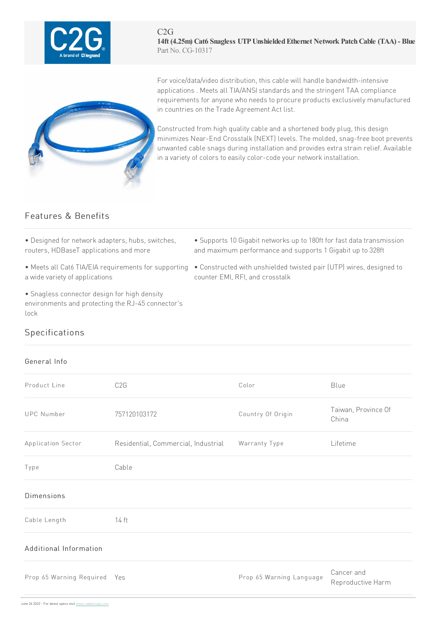

#### $C2G$ **14ft (4.25m) Cat6 Snagless UTPUnshieldedEthernet Network PatchCable (TAA) - Blue** Part No. CG-10317



For voice/data/video distribution, this cable will handle bandwidth-intensive applications . Meets all TIA/ANSI standards and the stringent TAA compliance requirements for anyone who needs to procure products exclusively manufactured in countries on the Trade Agreement Act list.

Constructed from high quality cable and a shortened body plug, this design minimizes Near-End Crosstalk (NEXT) levels. The molded, snag-free boot prevents unwanted cable snags during installation and provides extra strain relief. Available in a variety of colors to easily color-code your network installation.

## Features & Benefits

- Designed for network adapters, hubs, switches, routers, HDBaseT applications and more
- a wide variety of applications
- Snagless connector design for high density environments and protecting the RJ-45 connector's lock
- Supports 10 Gigabit networks up to 180ft for fast data transmission and maximum performance and supports 1 Gigabit up to 328ft
- Meets all Cat6 TIA/EIA requirements for supporting Constructed with unshielded twisted pair (UTP) wires, designed to counter EMI, RFI, and crosstalk

# Specifications

### General Info

| Product Line                 | C <sub>2</sub> G                    | Color                    | Blue                            |
|------------------------------|-------------------------------------|--------------------------|---------------------------------|
| <b>UPC Number</b>            | 757120103172                        | Country Of Origin        | Taiwan, Province Of<br>China    |
| Application Sector           | Residential, Commercial, Industrial | Warranty Type            | Lifetime                        |
| Type                         | Cable                               |                          |                                 |
| <b>Dimensions</b>            |                                     |                          |                                 |
| Cable Length                 | 14 ft                               |                          |                                 |
| Additional Information       |                                     |                          |                                 |
| Prop 65 Warning Required Yes |                                     | Prop 65 Warning Language | Cancer and<br>Reproductive Harm |